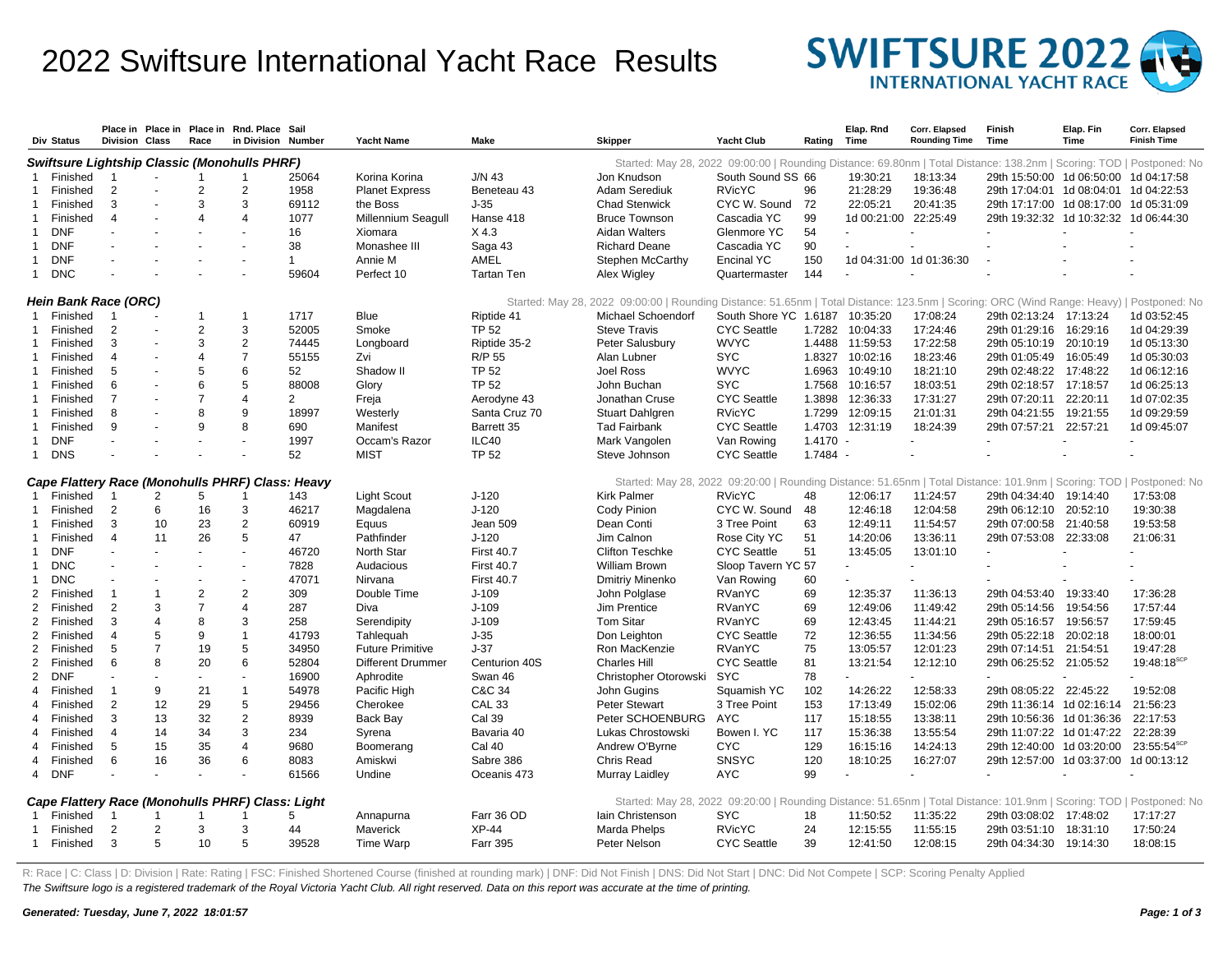## 2022 Swiftsure International Yacht Race Results



|                                                                                                                                                                          | Div Status                                                                                                                                                                  | <b>Division Class</b>   | Place in Place in | Race           | Place in Rnd. Place Sail<br>in Division          | Number         | <b>Yacht Name</b>        | Make              | <b>Skipper</b>                                                                                                       | <b>Yacht Club</b>     | Rating     | Elap. Rnd<br>Time    | Corr. Elapsed<br><b>Rounding Time</b> | Finish<br>Time                          | Elap. Fin<br>Time | Corr. Elapsed<br><b>Finish Time</b> |
|--------------------------------------------------------------------------------------------------------------------------------------------------------------------------|-----------------------------------------------------------------------------------------------------------------------------------------------------------------------------|-------------------------|-------------------|----------------|--------------------------------------------------|----------------|--------------------------|-------------------|----------------------------------------------------------------------------------------------------------------------|-----------------------|------------|----------------------|---------------------------------------|-----------------------------------------|-------------------|-------------------------------------|
|                                                                                                                                                                          | <b>Swiftsure Lightship Classic (Monohulls PHRF)</b><br>Started: May 28, 2022 09:00:00   Rounding Distance: 69.80nm   Total Distance: 138.2nm   Scoring: TOD   Postponed: No |                         |                   |                |                                                  |                |                          |                   |                                                                                                                      |                       |            |                      |                                       |                                         |                   |                                     |
|                                                                                                                                                                          | Finished                                                                                                                                                                    | $\overline{1}$          |                   | -1             | 1                                                | 25064          | Korina Korina            | $J/N$ 43          | Jon Knudson                                                                                                          | South Sound SS 66     |            | 19:30:21             | 18:13:34                              | 29th 15:50:00 1d 06:50:00 1d 04:17:58   |                   |                                     |
|                                                                                                                                                                          | Finished                                                                                                                                                                    | $\overline{2}$          |                   | $\overline{2}$ | $\mathbf{2}$                                     | 1958           | <b>Planet Express</b>    | Beneteau 43       | <b>Adam Serediuk</b>                                                                                                 | <b>RVicYC</b>         | 96         | 21:28:29             | 19:36:48                              | 29th 17:04:01  1d 08:04:01  1d 04:22:53 |                   |                                     |
| -1                                                                                                                                                                       | Finished                                                                                                                                                                    | 3                       |                   | 3              | 3                                                | 69112          | the Boss                 | J-35              | <b>Chad Stenwick</b>                                                                                                 | CYC W. Sound          | 72         | 22:05:21             | 20:41:35                              | 29th 17:17:00 1d 08:17:00 1d 05:31:09   |                   |                                     |
| -1                                                                                                                                                                       | Finished                                                                                                                                                                    | $\overline{4}$          |                   | Δ              | $\overline{\mathbf{A}}$                          | 1077           | Millennium Seagull       | Hanse 418         | <b>Bruce Townson</b>                                                                                                 | Cascadia YC           | 99         | 1d 00:21:00 22:25:49 |                                       | 29th 19:32:32 1d 10:32:32 1d 06:44:30   |                   |                                     |
| -1                                                                                                                                                                       | <b>DNF</b>                                                                                                                                                                  |                         |                   |                |                                                  | 16             | Xiomara                  | X 4.3             | Aidan Walters                                                                                                        | Glenmore YC           | 54         |                      |                                       |                                         |                   |                                     |
| -1                                                                                                                                                                       | <b>DNF</b>                                                                                                                                                                  |                         |                   |                | $\blacksquare$                                   | 38             | Monashee III             | Saga 43           | <b>Richard Deane</b>                                                                                                 | Cascadia YC           | 90         |                      |                                       |                                         |                   |                                     |
| -1                                                                                                                                                                       | <b>DNF</b>                                                                                                                                                                  |                         |                   |                |                                                  | 1              | Annie M                  | AMEL              | Stephen McCarthy                                                                                                     | <b>Encinal YC</b>     | 150        |                      | 1d 04:31:00 1d 01:36:30               |                                         |                   |                                     |
| $\mathbf 1$                                                                                                                                                              | <b>DNC</b>                                                                                                                                                                  |                         |                   |                |                                                  | 59604          | Perfect 10               | Tartan Ten        | Alex Wigley                                                                                                          | Quartermaster         | 144        |                      |                                       |                                         |                   |                                     |
| <b>Hein Bank Race (ORC)</b><br>Started: May 28, 2022 09:00:00   Rounding Distance: 51.65nm   Total Distance: 123.5nm   Scoring: ORC (Wind Range: Heavy)   Postponed: No  |                                                                                                                                                                             |                         |                   |                |                                                  |                |                          |                   |                                                                                                                      |                       |            |                      |                                       |                                         |                   |                                     |
| $\overline{1}$                                                                                                                                                           | Finished                                                                                                                                                                    | $\overline{1}$          |                   | -1             | 1                                                | 1717           | Blue                     | Riptide 41        | Michael Schoendorf                                                                                                   | South Shore YC 1.6187 |            | 10:35:20             | 17:08:24                              | 29th 02:13:24 17:13:24                  |                   | 1d 03:52:45                         |
| -1                                                                                                                                                                       | Finished                                                                                                                                                                    | 2                       |                   | $\overline{2}$ | 3                                                | 52005          | Smoke                    | <b>TP 52</b>      | <b>Steve Travis</b>                                                                                                  | <b>CYC Seattle</b>    | 1.7282     | 10:04:33             | 17:24:46                              | 29th 01:29:16                           | 16:29:16          | 1d 04:29:39                         |
|                                                                                                                                                                          | Finished                                                                                                                                                                    | 3                       | $\sim$            | 3              | $\overline{2}$                                   | 74445          | Longboard                | Riptide 35-2      | Peter Salusbury                                                                                                      | <b>WVYC</b>           |            | 1.4488 11:59:53      | 17:22:58                              | 29th 05:10:19 20:10:19                  |                   | 1d 05:13:30                         |
|                                                                                                                                                                          | Finished                                                                                                                                                                    | $\overline{4}$          |                   | $\overline{4}$ | $\overline{7}$                                   | 55155          | Zvi                      | R/P 55            | Alan Lubner                                                                                                          | <b>SYC</b>            | 1.8327     | 10:02:16             | 18:23:46                              | 29th 01:05:49                           | 16:05:49          | 1d 05:30:03                         |
| -1                                                                                                                                                                       | Finished                                                                                                                                                                    | 5                       |                   | 5              | 6                                                | 52             | Shadow II                | <b>TP 52</b>      | Joel Ross                                                                                                            | <b>WVYC</b>           |            | 1.6963 10:49:10      | 18:21:10                              | 29th 02:48:22 17:48:22                  |                   | 1d 06:12:16                         |
| -1                                                                                                                                                                       | Finished                                                                                                                                                                    | 6                       |                   | 6              | 5                                                | 88008          | Glory                    | <b>TP 52</b>      | John Buchan                                                                                                          | <b>SYC</b>            | 1.7568     | 10:16:57             | 18:03:51                              | 29th 02:18:57 17:18:57                  |                   | 1d 06:25:13                         |
| -1                                                                                                                                                                       | Finished                                                                                                                                                                    | $\overline{7}$          |                   | $\overline{7}$ | 4                                                | $\overline{2}$ | Freja                    | Aerodyne 43       | Jonathan Cruse                                                                                                       | <b>CYC Seattle</b>    | 1.3898     | 12:36:33             | 17:31:27                              | 29th 07:20:11                           | 22:20:11          | 1d 07:02:35                         |
|                                                                                                                                                                          | Finished                                                                                                                                                                    | 8                       |                   | 8              | 9                                                | 18997          | Westerly                 | Santa Cruz 70     | <b>Stuart Dahlgren</b>                                                                                               | <b>RVicYC</b>         | 1.7299     | 12:09:15             | 21:01:31                              | 29th 04:21:55 19:21:55                  |                   | 1d 09:29:59                         |
|                                                                                                                                                                          | Finished                                                                                                                                                                    | 9                       |                   | 9              | 8                                                | 690            | Manifest                 | Barrett 35        | <b>Tad Fairbank</b>                                                                                                  | <b>CYC Seattle</b>    | 1.4703     | 12:31:19             | 18:24:39                              | 29th 07:57:21                           | 22:57:21          | 1d 09:45:07                         |
| -1                                                                                                                                                                       | <b>DNF</b>                                                                                                                                                                  |                         |                   |                | $\blacksquare$                                   | 1997           | Occam's Razor            | ILC40             | Mark Vangolen                                                                                                        | Van Rowing            | $1.4170 -$ |                      |                                       |                                         |                   |                                     |
| $\mathbf 1$                                                                                                                                                              | <b>DNS</b>                                                                                                                                                                  |                         |                   |                |                                                  | 52             | <b>MIST</b>              | <b>TP 52</b>      | Steve Johnson                                                                                                        | <b>CYC Seattle</b>    | 1.7484 -   |                      |                                       |                                         |                   |                                     |
| Cape Flattery Race (Monohulls PHRF) Class: Heavy<br>Started: May 28, 2022 09:20:00   Rounding Distance: 51.65nm   Total Distance: 101.9nm   Scoring: TOD   Postponed: No |                                                                                                                                                                             |                         |                   |                |                                                  |                |                          |                   |                                                                                                                      |                       |            |                      |                                       |                                         |                   |                                     |
|                                                                                                                                                                          | Finished                                                                                                                                                                    | $\overline{\mathbf{1}}$ | 2                 | 5              |                                                  | 143            | <b>Light Scout</b>       | $J-120$           | <b>Kirk Palmer</b>                                                                                                   | <b>RVicYC</b>         | 48         | 12:06:17             | 11:24:57                              | 29th 04:34:40 19:14:40                  |                   | 17:53:08                            |
|                                                                                                                                                                          | Finished                                                                                                                                                                    | $\overline{2}$          | 6                 | 16             | 3                                                | 46217          | Magdalena                | $J-120$           | Cody Pinion                                                                                                          | CYC W. Sound 48       |            | 12:46:18             | 12:04:58                              | 29th 06:12:10 20:52:10                  |                   | 19:30:38                            |
|                                                                                                                                                                          | Finished                                                                                                                                                                    | 3                       | 10                | 23             | $\mathbf{2}$                                     | 60919          | Equus                    | Jean 509          | Dean Conti                                                                                                           | 3 Tree Point          | 63         | 12:49:11             | 11:54:57                              | 29th 07:00:58                           | 21:40:58          | 19:53:58                            |
| -1                                                                                                                                                                       | Finished                                                                                                                                                                    | $\overline{4}$          | 11                | 26             | 5                                                | 47             | Pathfinder               | $J-120$           | Jim Calnon                                                                                                           | Rose City YC          | 51         | 14:20:06             | 13:36:11                              | 29th 07:53:08 22:33:08                  |                   | 21:06:31                            |
|                                                                                                                                                                          | <b>DNF</b>                                                                                                                                                                  |                         |                   |                |                                                  | 46720          | North Star               | <b>First 40.7</b> | <b>Clifton Teschke</b>                                                                                               | <b>CYC Seattle</b>    | 51         | 13:45:05             | 13:01:10                              |                                         |                   |                                     |
| -1                                                                                                                                                                       | <b>DNC</b>                                                                                                                                                                  |                         |                   |                |                                                  | 7828           | Audacious                | <b>First 40.7</b> | William Brown                                                                                                        | Sloop Tavern YC 57    |            |                      |                                       |                                         |                   |                                     |
|                                                                                                                                                                          | <b>DNC</b>                                                                                                                                                                  |                         |                   |                |                                                  | 47071          | Nirvana                  | <b>First 40.7</b> | Dmitriy Minenko                                                                                                      | Van Rowing            | 60         |                      |                                       |                                         |                   |                                     |
| 2                                                                                                                                                                        | Finished                                                                                                                                                                    | $\overline{1}$          | $\mathbf 1$       | $\overline{2}$ | $\mathbf{2}$                                     | 309            | Double Time              | $J-109$           | John Polglase                                                                                                        | RVanYC                | 69         | 12:35:37             | 11:36:13                              | 29th 04:53:40                           | 19:33:40          | 17:36:28                            |
| 2                                                                                                                                                                        | Finished                                                                                                                                                                    | $\overline{2}$          | 3                 | $\overline{7}$ | $\overline{4}$                                   | 287            | Diva                     | $J-109$           | Jim Prentice                                                                                                         | RVanYC                | 69         | 12:49:06             | 11:49:42                              | 29th 05:14:56                           | 19:54:56          | 17:57:44                            |
| 2                                                                                                                                                                        | Finished                                                                                                                                                                    | 3                       | 4                 | 8              | 3                                                | 258            | Serendipity              | $J-109$           | <b>Tom Sitar</b>                                                                                                     | RVanYC                | 69         | 12:43:45             | 11:44:21                              | 29th 05:16:57                           | 19:56:57          | 17:59:45                            |
| 2                                                                                                                                                                        | Finished                                                                                                                                                                    | $\overline{4}$          | 5                 | 9              | 1                                                | 41793          | Tahleguah                | $J-35$            | Don Leighton                                                                                                         | <b>CYC Seattle</b>    | 72         | 12:36:55             | 11:34:56                              | 29th 05:22:18                           | 20:02:18          | 18:00:01                            |
| 2                                                                                                                                                                        | Finished                                                                                                                                                                    | 5                       | $\overline{7}$    | 19             | 5                                                | 34950          | <b>Future Primitive</b>  | $J-37$            | Ron MacKenzie                                                                                                        | RVanYC                | 75         | 13:05:57             | 12:01:23                              | 29th 07:14:51 21:54:51                  |                   | 19:47:28                            |
| 2                                                                                                                                                                        | Finished                                                                                                                                                                    | 6                       | 8                 | 20             | 6                                                | 52804          | <b>Different Drummer</b> | Centurion 40S     | <b>Charles Hill</b>                                                                                                  | <b>CYC</b> Seattle    | 81         | 13:21:54             | 12:12:10                              | 29th 06:25:52 21:05:52                  |                   | 19:48:18 <sup>scP</sup>             |
| 2                                                                                                                                                                        | <b>DNF</b>                                                                                                                                                                  |                         |                   |                |                                                  | 16900          | Aphrodite                | Swan 46           | Christopher Otorowski                                                                                                | <b>SYC</b>            | 78         |                      |                                       |                                         |                   |                                     |
| $\overline{4}$                                                                                                                                                           | Finished                                                                                                                                                                    | $\overline{1}$          | 9                 | 21             | $\mathbf{1}$                                     | 54978          | Pacific High             | C&C 34            | John Gugins                                                                                                          | Squamish YC           | 102        | 14:26:22             | 12:58:33                              | 29th 08:05:22 22:45:22                  |                   | 19:52:08                            |
| $\overline{4}$                                                                                                                                                           | Finished                                                                                                                                                                    | $\overline{2}$          | 12                | 29             | 5                                                | 29456          | Cherokee                 | <b>CAL 33</b>     | <b>Peter Stewart</b>                                                                                                 | 3 Tree Point          | 153        | 17:13:49             | 15:02:06                              | 29th 11:36:14 1d 02:16:14               |                   | 21:56:23                            |
| $\overline{4}$                                                                                                                                                           | Finished                                                                                                                                                                    | 3                       | 13                | 32             | 2                                                | 8939           | Back Bay                 | <b>Cal 39</b>     | Peter SCHOENBURG                                                                                                     | <b>AYC</b>            | 117        | 15:18:55             | 13:38:11                              | 29th 10:56:36 1d 01:36:36               |                   | 22:17:53                            |
| $\overline{4}$                                                                                                                                                           | Finished                                                                                                                                                                    | $\overline{4}$          | 14                | 34             | 3                                                | 234            | Syrena                   | Bavaria 40        | Lukas Chrostowski                                                                                                    | Bowen I. YC           | 117        | 15:36:38             | 13:55:54                              | 29th 11:07:22 1d 01:47:22               |                   | 22:28:39                            |
| $\overline{4}$                                                                                                                                                           | Finished                                                                                                                                                                    | 5                       | 15                | 35             | $\overline{4}$                                   | 9680           | Boomerang                | <b>Cal 40</b>     | Andrew O'Byrne                                                                                                       | <b>CYC</b>            | 129        | 16:15:16             | 14:24:13                              | 29th 12:40:00 1d 03:20:00               |                   | $23:55:54$ <sup>SCF</sup>           |
| $\overline{4}$                                                                                                                                                           | Finished                                                                                                                                                                    | 6                       | 16                | 36             | 6                                                | 8083           | Amiskwi                  | Sabre 386         | Chris Read                                                                                                           | <b>SNSYC</b>          | 120        | 18:10:25             | 16:27:07                              | 29th 12:57:00 1d 03:37:00 1d 00:13:12   |                   |                                     |
| $\overline{4}$                                                                                                                                                           | DNF                                                                                                                                                                         |                         |                   |                |                                                  | 61566          | Undine                   | Oceanis 473       | Murray Laidley                                                                                                       | <b>AYC</b>            | 99         |                      |                                       |                                         |                   |                                     |
|                                                                                                                                                                          |                                                                                                                                                                             |                         |                   |                | Cape Flattery Race (Monohulls PHRF) Class: Light |                |                          |                   | Started: May 28, 2022 09:20:00   Rounding Distance: 51.65nm   Total Distance: 101.9nm   Scoring: TOD   Postponed: No |                       |            |                      |                                       |                                         |                   |                                     |
| -1                                                                                                                                                                       | Finished                                                                                                                                                                    | $\overline{\mathbf{1}}$ | $\overline{1}$    | $\mathbf{1}$   | -1                                               | 5              | Annapurna                | Farr 36 OD        | lain Christenson                                                                                                     | <b>SYC</b>            | 18         | 11:50:52             | 11:35:22                              | 29th 03:08:02 17:48:02                  |                   | 17:17:27                            |
|                                                                                                                                                                          | Finished                                                                                                                                                                    | $\overline{2}$          | 2                 | 3              | 3                                                | 44             | Maverick                 | XP-44             | Marda Phelps                                                                                                         | <b>RVicYC</b>         | 24         | 12:15:55             | 11:55:15                              | 29th 03:51:10                           | 18:31:10          | 17:50:24                            |
|                                                                                                                                                                          | 1 Finished                                                                                                                                                                  | 3                       | 5                 | 10             | 5                                                | 39528          | <b>Time Warp</b>         | <b>Farr 395</b>   | Peter Nelson                                                                                                         | <b>CYC Seattle</b>    | 39         | 12:41:50             | 12:08:15                              | 29th 04:34:30 19:14:30                  |                   | 18:08:15                            |

R: Race | C: Class | D: Division | Rate: Rating | FSC: Finished Shortened Course (finished at rounding mark) | DNF: Did Not Finish | DNS: Did Not Start | DNC: Did Not Compete | SCP: Scoring Penalty Applied The Swiftsure logo is a registered trademark of the Royal Victoria Yacht Club. All right reserved. Data on this report was accurate at the time of printing.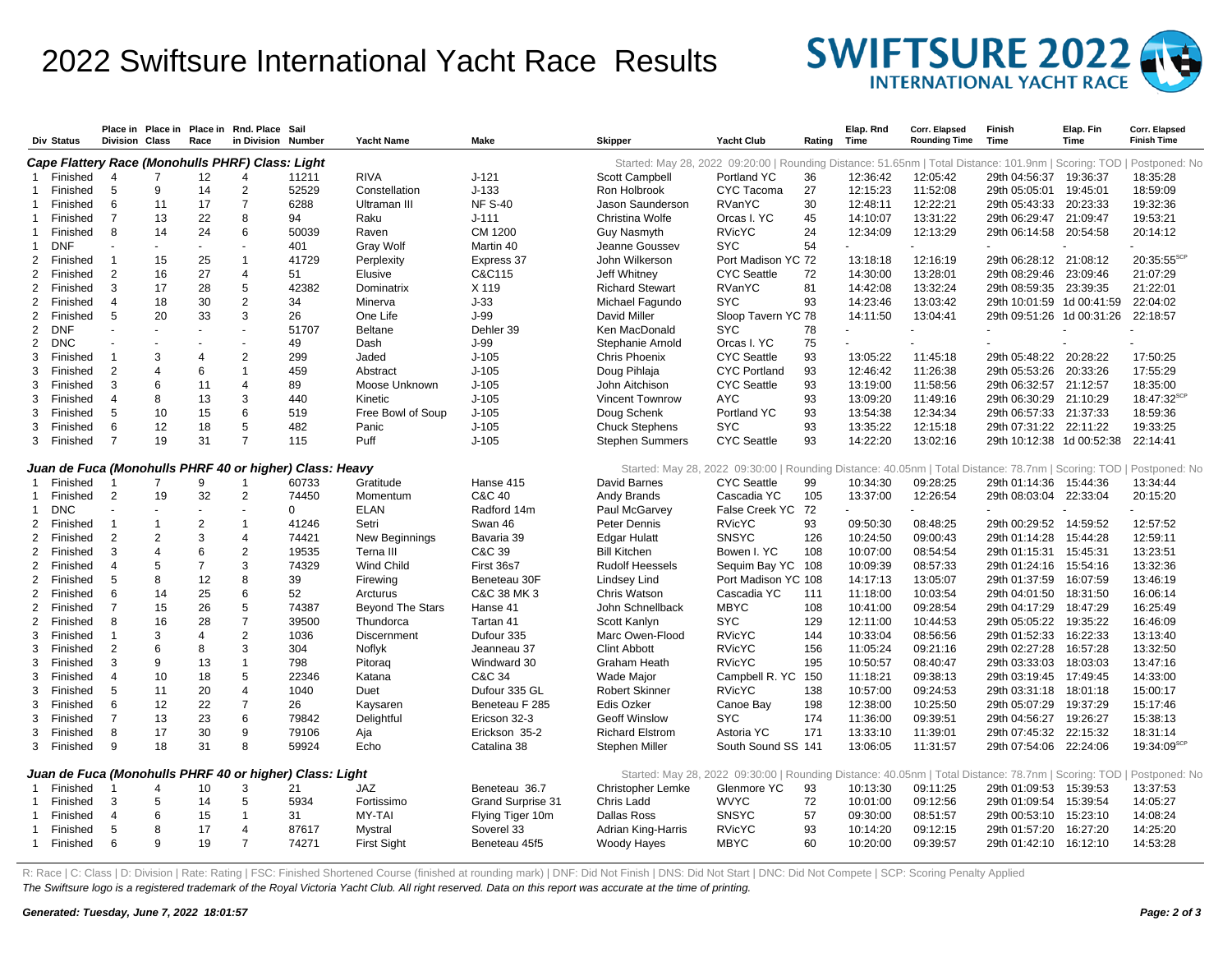## 2022 Swiftsure International Yacht Race Results



|                                                                                                                                                                                | Div Status           | <b>Division Class</b> | Place in Place in        | Race                     | Place in Rnd. Place Sail<br>in Division Number |                                                         | <b>Yacht Name</b>                    | Make              | <b>Skipper</b>           | Yacht Club                                                                                          | Rating | Elap, Rnd<br>Time | Corr. Elapsed<br><b>Rounding Time</b> | Finish<br>Time            | Elap. Fin<br>Time | Corr. Elapsed<br><b>Finish Time</b> |
|--------------------------------------------------------------------------------------------------------------------------------------------------------------------------------|----------------------|-----------------------|--------------------------|--------------------------|------------------------------------------------|---------------------------------------------------------|--------------------------------------|-------------------|--------------------------|-----------------------------------------------------------------------------------------------------|--------|-------------------|---------------------------------------|---------------------------|-------------------|-------------------------------------|
| Cape Flattery Race (Monohulls PHRF) Class: Light<br>Started: May 28, 2022 09:20:00   Rounding Distance: 51.65nm   Total Distance: 101.9nm   Scoring: TOD<br>Postponed: No      |                      |                       |                          |                          |                                                |                                                         |                                      |                   |                          |                                                                                                     |        |                   |                                       |                           |                   |                                     |
|                                                                                                                                                                                | Finished             | 4                     | 7                        | 12                       |                                                | 11211                                                   | <b>RIVA</b>                          | $J-121$           | Scott Campbell           | Portland YC                                                                                         | 36     | 12:36:42          | 12:05:42                              | 29th 04:56:37             | 19:36:37          | 18:35:28                            |
|                                                                                                                                                                                | Finished             | 5                     | 9                        | 14                       | $\overline{2}$                                 | 52529                                                   | Constellation                        | $J-133$           | Ron Holbrook             | CYC Tacoma                                                                                          | 27     | 12:15:23          | 11:52:08                              | 29th 05:05:01             | 19:45:01          | 18:59:09                            |
|                                                                                                                                                                                | Finished             | 6                     | 11                       | 17                       | 7                                              | 6288                                                    | Ultraman III                         | <b>NF S-40</b>    | Jason Saunderson         | RVanYC                                                                                              | 30     | 12:48:11          | 12:22:21                              | 29th 05:43:33             | 20:23:33          | 19:32:36                            |
|                                                                                                                                                                                | Finished             | $\overline{7}$        | 13                       | 22                       | 8                                              | 94                                                      | Raku                                 | $J-111$           | Christina Wolfe          | Orcas I. YC                                                                                         | 45     | 14:10:07          | 13:31:22                              | 29th 06:29:47             | 21:09:47          | 19:53:21                            |
| -1                                                                                                                                                                             | Finished             | 8                     | 14                       | 24                       | 6                                              | 50039                                                   | Raven                                | CM 1200           | Guy Nasmyth              | <b>RVicYC</b>                                                                                       | 24     | 12:34:09          | 12:13:29                              | 29th 06:14:58 20:54:58    |                   | 20:14:12                            |
| -1                                                                                                                                                                             | <b>DNF</b>           |                       | $\overline{\phantom{a}}$ | $\sim$                   |                                                | 401                                                     | <b>Gray Wolf</b>                     | Martin 40         | Jeanne Goussev           | <b>SYC</b>                                                                                          | 54     |                   |                                       |                           |                   |                                     |
| 2                                                                                                                                                                              | Finished             | $\overline{1}$        | 15                       | 25                       |                                                | 41729                                                   | Perplexity                           | Express 37        | John Wilkerson           | Port Madison YC 72                                                                                  |        | 13:18:18          | 12:16:19                              | 29th 06:28:12 21:08:12    |                   | 20:35:55 <sup>scP</sup>             |
| 2                                                                                                                                                                              | Finished             | $\overline{2}$        | 16                       | 27                       | $\overline{4}$                                 | 51                                                      | Elusive                              | C&C115            | Jeff Whitney             | <b>CYC Seattle</b>                                                                                  | 72     | 14:30:00          | 13:28:01                              | 29th 08:29:46             | 23:09:46          | 21:07:29                            |
| 2                                                                                                                                                                              | Finished             | 3                     | 17                       | 28                       | 5                                              | 42382                                                   | Dominatrix                           | X 119             | <b>Richard Stewart</b>   | RVanYC                                                                                              | 81     | 14:42:08          | 13:32:24                              | 29th 08:59:35             | 23:39:35          | 21:22:01                            |
| 2                                                                                                                                                                              | Finished             | $\overline{4}$        | 18                       | 30                       | 2                                              | 34                                                      | Minerva                              | $J-33$            | Michael Fagundo          | <b>SYC</b>                                                                                          | 93     | 14:23:46          | 13:03:42                              | 29th 10:01:59 1d 00:41:59 |                   | 22:04:02                            |
| 2                                                                                                                                                                              | Finished             | 5                     | 20                       | 33                       | 3                                              | 26                                                      | One Life                             | J-99              | David Miller             | Sloop Tavern YC 78                                                                                  |        | 14:11:50          | 13:04:41                              | 29th 09:51:26 1d 00:31:26 |                   | 22:18:57                            |
| 2                                                                                                                                                                              | <b>DNF</b>           |                       | $\overline{\phantom{a}}$ | $\sim$                   |                                                | 51707                                                   | <b>Beltane</b>                       | Dehler 39         | Ken MacDonald            | <b>SYC</b>                                                                                          | 78     |                   |                                       |                           |                   |                                     |
| 2                                                                                                                                                                              | DNC                  |                       |                          |                          |                                                | 49                                                      | Dash                                 | $J-99$            | Stephanie Arnold         | Orcas I. YC                                                                                         | 75     |                   |                                       |                           |                   |                                     |
| 3                                                                                                                                                                              | Finished             | $\overline{1}$        | 3                        | $\overline{4}$           | $\overline{2}$                                 | 299                                                     | Jaded                                | $J-105$           | <b>Chris Phoenix</b>     | <b>CYC Seattle</b>                                                                                  | 93     | 13:05:22          | 11:45:18                              | 29th 05:48:22             | 20:28:22          | 17:50:25                            |
| 3                                                                                                                                                                              | Finished             | $\overline{2}$        | 4                        | 6                        |                                                | 459                                                     | Abstract                             | $J-105$           | Doug Pihlaja             | <b>CYC Portland</b>                                                                                 | 93     | 12:46:42          | 11:26:38                              | 29th 05:53:26             | 20:33:26          | 17:55:29                            |
| 3                                                                                                                                                                              | Finished             | 3                     | 6                        | 11                       | $\overline{4}$                                 | 89                                                      | Moose Unknown                        | $J-105$           | John Aitchison           | <b>CYC Seattle</b>                                                                                  | 93     | 13:19:00          | 11:58:56                              | 29th 06:32:57             | 21:12:57          | 18:35:00                            |
| 3                                                                                                                                                                              | Finished             | $\overline{4}$        | 8                        | 13                       | 3                                              | 440                                                     | Kinetic                              | $J-105$           | <b>Vincent Townrow</b>   | <b>AYC</b>                                                                                          | 93     | 13:09:20          | 11:49:16                              | 29th 06:30:29             | 21:10:29          | 18:47:32 <sup>SCF</sup>             |
| 3                                                                                                                                                                              | Finished             | 5                     | 10                       | 15                       | 6                                              | 519                                                     | Free Bowl of Soup                    | $J - 105$         | Doug Schenk              | Portland YC                                                                                         | 93     | 13:54:38          | 12:34:34                              | 29th 06:57:33             | 21:37:33          | 18:59:36                            |
| 3                                                                                                                                                                              | Finished             | 6                     | 12                       | 18                       | 5                                              | 482                                                     | Panic                                | $J-105$           | <b>Chuck Stephens</b>    | <b>SYC</b>                                                                                          | 93     | 13:35:22          | 12:15:18                              | 29th 07:31:22             | 22:11:22          | 19:33:25                            |
| 3                                                                                                                                                                              | Finished             | $\overline{7}$        | 19                       | 31                       | $\overline{7}$                                 | 115                                                     | Puff                                 | $J - 105$         | <b>Stephen Summers</b>   | <b>CYC</b> Seattle                                                                                  | 93     | 14:22:20          | 13:02:16                              | 29th 10:12:38 1d 00:52:38 |                   | 22:14:41                            |
| Juan de Fuca (Monohulls PHRF 40 or higher) Class: Heavy<br>Started: May 28, 2022 09:30:00   Rounding Distance: 40.05nm   Total Distance: 78.7nm   Scoring: TOD   Postponed: No |                      |                       |                          |                          |                                                |                                                         |                                      |                   |                          |                                                                                                     |        |                   |                                       |                           |                   |                                     |
| -1                                                                                                                                                                             | Finished             | -1                    | 7                        | 9                        |                                                | 60733                                                   | Gratitude                            | Hanse 415         | David Barnes             | <b>CYC Seattle</b>                                                                                  | 99     | 10:34:30          | 09:28:25                              | 29th 01:14:36             | 15:44:36          | 13:34:44                            |
| -1                                                                                                                                                                             | Finished             | $\overline{2}$        | 19                       | 32                       | $\overline{2}$                                 | 74450                                                   | Momentum                             | C&C 40            | Andy Brands              | Cascadia YC                                                                                         | 105    | 13:37:00          | 12:26:54                              | 29th 08:03:04 22:33:04    |                   | 20:15:20                            |
|                                                                                                                                                                                | <b>DNC</b>           |                       |                          | $\overline{\phantom{a}}$ |                                                | $\Omega$                                                | <b>ELAN</b>                          | Radford 14m       | Paul McGarvey            | False Creek YC 72                                                                                   |        |                   |                                       |                           |                   |                                     |
| 2                                                                                                                                                                              | Finished             | $\overline{1}$        | -1                       | $\overline{2}$           |                                                | 41246                                                   | Setri                                | Swan 46           | Peter Dennis             | <b>RVicYC</b>                                                                                       | 93     | 09:50:30          | 08:48:25                              | 29th 00:29:52             | 14:59:52          | 12:57:52                            |
| 2                                                                                                                                                                              | Finished             | 2                     | $\overline{2}$           | 3                        | $\overline{4}$                                 | 74421                                                   | <b>New Beginnings</b>                | Bavaria 39        | <b>Edgar Hulatt</b>      | <b>SNSYC</b>                                                                                        | 126    | 10:24:50          | 09:00:43                              | 29th 01:14:28             | 15:44:28          | 12:59:11                            |
| 2                                                                                                                                                                              | Finished             | 3                     | 4                        | 6                        | $\overline{2}$                                 | 19535                                                   | Terna III                            | C&C 39            | <b>Bill Kitchen</b>      | Bowen I. YC                                                                                         | 108    | 10:07:00          | 08:54:54                              | 29th 01:15:31             | 15:45:31          | 13:23:51                            |
| 2                                                                                                                                                                              | Finished             | 4                     | 5                        | $\overline{7}$           | 3                                              | 74329                                                   | Wind Child                           | First 36s7        | Rudolf Heessels          | Sequim Bay YC 108                                                                                   |        | 10:09:39          | 08:57:33                              | 29th 01:24:16             | 15:54:16          | 13:32:36                            |
| 2                                                                                                                                                                              | Finished             | 5                     | 8                        | 12                       | 8                                              | 39                                                      | Firewing                             | Beneteau 30F      | Lindsey Lind             | Port Madison YC 108                                                                                 |        | 14:17:13          | 13:05:07                              | 29th 01:37:59             | 16:07:59          | 13:46:19                            |
| 2                                                                                                                                                                              |                      | 6                     | 14                       | 25                       | 6                                              | 52                                                      | Arcturus                             | C&C 38 MK 3       | <b>Chris Watson</b>      | Cascadia YC                                                                                         | 111    | 11:18:00          | 10:03:54                              | 29th 04:01:50             | 18:31:50          | 16:06:14                            |
| 2                                                                                                                                                                              | Finished<br>Finished | $\overline{7}$        | 15                       | 26                       | 5                                              | 74387                                                   |                                      | Hanse 41          | John Schnellback         | <b>MBYC</b>                                                                                         | 108    | 10:41:00          | 09:28:54                              | 29th 04:17:29             | 18:47:29          | 16:25:49                            |
| 2                                                                                                                                                                              | Finished             | 8                     | 16                       | 28                       | $\overline{7}$                                 | 39500                                                   | <b>Beyond The Stars</b><br>Thundorca | Tartan 41         | Scott Kanlyn             | <b>SYC</b>                                                                                          | 129    | 12:11:00          | 10:44:53                              | 29th 05:05:22             | 19:35:22          | 16:46:09                            |
| 3                                                                                                                                                                              | Finished             | $\mathbf{1}$          | 3                        | $\overline{4}$           | 2                                              | 1036                                                    | Discernment                          | Dufour 335        | Marc Owen-Flood          | <b>RVicYC</b>                                                                                       | 144    | 10:33:04          | 08:56:56                              | 29th 01:52:33             | 16:22:33          | 13:13:40                            |
| 3                                                                                                                                                                              | Finished             | $\overline{2}$        | 6                        | 8                        | 3                                              | 304                                                     | Noflyk                               | Jeanneau 37       | <b>Clint Abbott</b>      | <b>RVicYC</b>                                                                                       | 156    | 11:05:24          | 09:21:16                              | 29th 02:27:28             | 16:57:28          | 13:32:50                            |
| 3                                                                                                                                                                              |                      | 3                     | 9                        | 13                       | $\mathbf{1}$                                   | 798                                                     |                                      | Windward 30       | Graham Heath             | <b>RVicYC</b>                                                                                       | 195    | 10:50:57          | 08:40:47                              | 29th 03:33:03             | 18:03:03          | 13:47:16                            |
|                                                                                                                                                                                | Finished             | $\overline{4}$        |                          |                          | 5                                              | 22346                                                   | Pitoraq                              | C&C 34            |                          |                                                                                                     |        |                   |                                       |                           |                   |                                     |
| 3                                                                                                                                                                              | Finished             |                       | 10                       | 18                       | $\boldsymbol{\Delta}$                          |                                                         | Katana                               |                   | Wade Major               | Campbell R. YC 150                                                                                  |        | 11:18:21          | 09:38:13                              | 29th 03:19:45             | 17:49:45          | 14:33:00                            |
| 3                                                                                                                                                                              | Finished             | 5                     | 11                       | 20                       |                                                | 1040                                                    | Duet                                 | Dufour 335 GL     | <b>Robert Skinner</b>    | <b>RVicYC</b>                                                                                       | 138    | 10:57:00          | 09:24:53                              | 29th 03:31:18             | 18:01:18          | 15:00:17                            |
| 3                                                                                                                                                                              | Finished             | 6                     | 12                       | 22                       | $\overline{7}$                                 | 26                                                      | Kaysaren                             | Beneteau F 285    | <b>Edis Ozker</b>        | Canoe Bay                                                                                           | 198    | 12:38:00          | 10:25:50                              | 29th 05:07:29             | 19:37:29          | 15:17:46                            |
| 3                                                                                                                                                                              | Finished             | $\overline{7}$        | 13                       | 23                       | 6                                              | 79842                                                   | Delightful                           | Ericson 32-3      | <b>Geoff Winslow</b>     | <b>SYC</b>                                                                                          | 174    | 11:36:00          | 09:39:51                              | 29th 04:56:27             | 19:26:27          | 15:38:13                            |
| 3                                                                                                                                                                              | Finished             | 8                     | 17                       | 30                       | 9                                              | 79106                                                   | Aja                                  | Erickson 35-2     | <b>Richard Elstrom</b>   | Astoria YC                                                                                          | 171    | 13:33:10          | 11:39:01                              | 29th 07:45:32             | 22:15:32          | 18:31:14                            |
| 3                                                                                                                                                                              | Finished             | 9                     | 18                       | 31                       | 8                                              | 59924                                                   | Echo                                 | Catalina 38       | Stephen Miller           | South Sound SS 141                                                                                  |        | 13:06:05          | 11:31:57                              | 29th 07:54:06 22:24:06    |                   | 19:34:09 <sup>scP</sup>             |
|                                                                                                                                                                                |                      |                       |                          |                          |                                                | Juan de Fuca (Monohulls PHRF 40 or higher) Class: Light |                                      |                   |                          | Started: May 28, 2022 09:30:00   Rounding Distance: 40.05nm   Total Distance: 78.7nm   Scoring: TOD |        |                   |                                       |                           |                   | Postponed: No                       |
|                                                                                                                                                                                | Finished             | $\overline{1}$        | 4                        | 10                       | 3                                              | 21                                                      | <b>JAZ</b>                           | Beneteau 36.7     | <b>Christopher Lemke</b> | Glenmore YC                                                                                         | 93     | 10:13:30          | 09:11:25                              | 29th 01:09:53             | 15:39:53          | 13:37:53                            |
| -1                                                                                                                                                                             | Finished             | 3                     | 5                        | 14                       | 5                                              | 5934                                                    | Fortissimo                           | Grand Surprise 31 | Chris Ladd               | <b>WVYC</b>                                                                                         | 72     | 10:01:00          | 09:12:56                              | 29th 01:09:54 15:39:54    |                   | 14:05:27                            |
|                                                                                                                                                                                | Finished             | 4                     | 6                        | 15                       | -1                                             | 31                                                      | MY-TAI                               | Flying Tiger 10m  | Dallas Ross              | <b>SNSYC</b>                                                                                        | 57     | 09:30:00          | 08:51:57                              | 29th 00:53:10             | 15:23:10          | 14:08:24                            |
|                                                                                                                                                                                | Finished             | 5                     | 8                        | 17                       | $\overline{4}$                                 | 87617                                                   | Mystral                              | Soverel 33        | Adrian King-Harris       | <b>RVicYC</b>                                                                                       | 93     | 10:14:20          | 09:12:15                              | 29th 01:57:20             | 16:27:20          | 14:25:20                            |
| 1                                                                                                                                                                              | Finished             | 6                     | 9                        | 19                       | $\overline{7}$                                 | 74271                                                   | <b>First Sight</b>                   | Beneteau 45f5     | Woody Hayes              | <b>MBYC</b>                                                                                         | 60     | 10:20:00          | 09:39:57                              | 29th 01:42:10 16:12:10    |                   | 14:53:28                            |

R: Race | C: Class | D: Division | Rate: Rating | FSC: Finished Shortened Course (finished at rounding mark) | DNF: Did Not Finish | DNS: Did Not Start | DNC: Did Not Compete | SCP: Scoring Penalty Applied